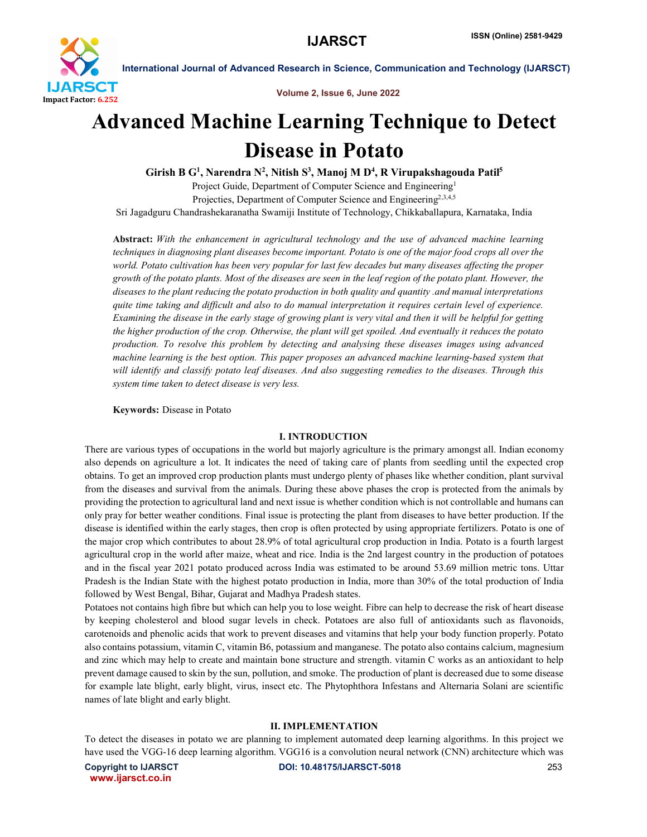

Volume 2, Issue 6, June 2022

# Advanced Machine Learning Technique to Detect Disease in Potato

Girish B G<sup>1</sup>, Narendra N<sup>2</sup>, Nitish S<sup>3</sup>, Manoj M D<sup>4</sup>, R Virupakshagouda Patil<sup>5</sup> Project Guide, Department of Computer Science and Engineering<sup>1</sup>

Projecties, Department of Computer Science and Engineering<sup>2,3,4,5</sup> Sri Jagadguru Chandrashekaranatha Swamiji Institute of Technology, Chikkaballapura, Karnataka, India

Abstract: *With the enhancement in agricultural technology and the use of advanced machine learning techniques in diagnosing plant diseases become important. Potato is one of the major food crops all over the world. Potato cultivation has been very popular for last few decades but many diseases affecting the proper growth of the potato plants. Most of the diseases are seen in the leaf region of the potato plant. However, the diseases to the plant reducing the potato production in both quality and quantity .and manual interpretations quite time taking and difficult and also to do manual interpretation it requires certain level of experience. Examining the disease in the early stage of growing plant is very vital and then it will be helpful for getting the higher production of the crop. Otherwise, the plant will get spoiled. And eventually it reduces the potato production. To resolve this problem by detecting and analysing these diseases images using advanced machine learning is the best option. This paper proposes an advanced machine learning-based system that will identify and classify potato leaf diseases. And also suggesting remedies to the diseases. Through this system time taken to detect disease is very less.*

Keywords: Disease in Potato

# I. INTRODUCTION

There are various types of occupations in the world but majorly agriculture is the primary amongst all. Indian economy also depends on agriculture a lot. It indicates the need of taking care of plants from seedling until the expected crop obtains. To get an improved crop production plants must undergo plenty of phases like whether condition, plant survival from the diseases and survival from the animals. During these above phases the crop is protected from the animals by providing the protection to agricultural land and next issue is whether condition which is not controllable and humans can only pray for better weather conditions. Final issue is protecting the plant from diseases to have better production. If the disease is identified within the early stages, then crop is often protected by using appropriate fertilizers. Potato is one of the major crop which contributes to about 28.9% of total agricultural crop production in India. Potato is a fourth largest agricultural crop in the world after maize, wheat and rice. India is the 2nd largest country in the production of potatoes and in the fiscal year 2021 potato produced across India was estimated to be around 53.69 million metric tons. Uttar Pradesh is the Indian State with the highest potato production in India, more than 30% of the total production of India followed by West Bengal, Bihar, Gujarat and Madhya Pradesh states.

Potatoes not contains high fibre but which can help you to lose weight. Fibre can help to decrease the risk of heart disease by keeping cholesterol and blood sugar levels in check. Potatoes are also full of antioxidants such as flavonoids, carotenoids and phenolic acids that work to prevent diseases and vitamins that help your body function properly. Potato also contains potassium, vitamin C, vitamin B6, potassium and manganese. The potato also contains calcium, magnesium and zinc which may help to create and maintain bone structure and strength. vitamin C works as an antioxidant to help prevent damage caused to skin by the sun, pollution, and smoke. The production of plant is decreased due to some disease for example late blight, early blight, virus, insect etc. The Phytophthora Infestans and Alternaria Solani are scientific names of late blight and early blight.

# II. IMPLEMENTATION

To detect the diseases in potato we are planning to implement automated deep learning algorithms. In this project we have used the VGG-16 deep learning algorithm. VGG16 is a convolution neural network (CNN) architecture which was

www.ijarsct.co.in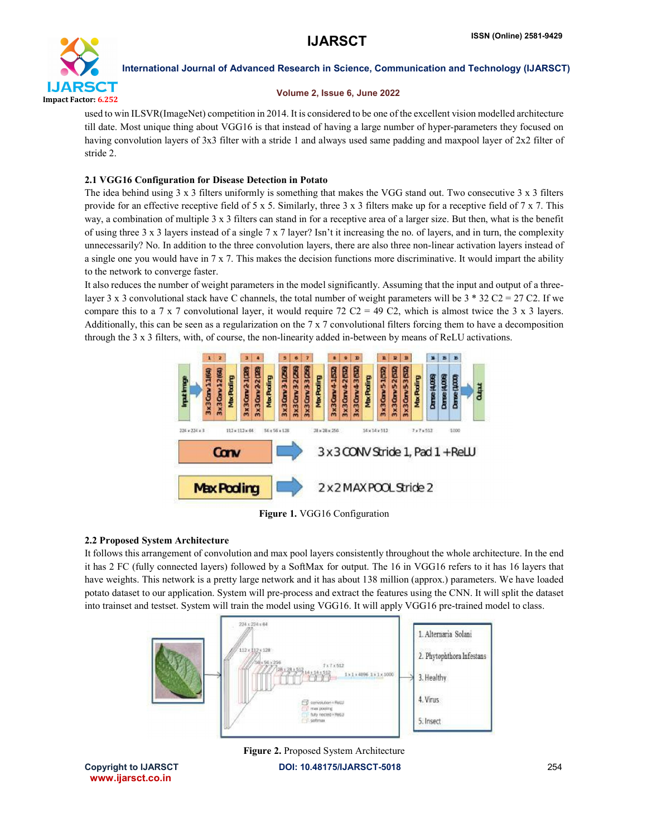

# Volume 2, Issue 6, June 2022

used to win ILSVR(ImageNet) competition in 2014. It is considered to be one of the excellent vision modelled architecture till date. Most unique thing about VGG16 is that instead of having a large number of hyper-parameters they focused on having convolution layers of 3x3 filter with a stride 1 and always used same padding and maxpool layer of 2x2 filter of stride 2.

# 2.1 VGG16 Configuration for Disease Detection in Potato

The idea behind using  $3 \times 3$  filters uniformly is something that makes the VGG stand out. Two consecutive  $3 \times 3$  filters provide for an effective receptive field of 5 x 5. Similarly, three 3 x 3 filters make up for a receptive field of 7 x 7. This way, a combination of multiple 3 x 3 filters can stand in for a receptive area of a larger size. But then, what is the benefit of using three 3 x 3 layers instead of a single  $7 \times 7$  layer? Isn't it increasing the no. of layers, and in turn, the complexity unnecessarily? No. In addition to the three convolution layers, there are also three non-linear activation layers instead of a single one you would have in 7 x 7. This makes the decision functions more discriminative. It would impart the ability to the network to converge faster.

It also reduces the number of weight parameters in the model significantly. Assuming that the input and output of a threelayer 3 x 3 convolutional stack have C channels, the total number of weight parameters will be  $3 * 32 C2 = 27 C2$ . If we compare this to a 7 x 7 convolutional layer, it would require 72 C2 = 49 C2, which is almost twice the 3 x 3 layers. Additionally, this can be seen as a regularization on the 7 x 7 convolutional filters forcing them to have a decomposition through the 3 x 3 filters, with, of course, the non-linearity added in-between by means of ReLU activations.



Figure 1. VGG16 Configuration

# 2.2 Proposed System Architecture

It follows this arrangement of convolution and max pool layers consistently throughout the whole architecture. In the end it has 2 FC (fully connected layers) followed by a SoftMax for output. The 16 in VGG16 refers to it has 16 layers that have weights. This network is a pretty large network and it has about 138 million (approx.) parameters. We have loaded potato dataset to our application. System will pre-process and extract the features using the CNN. It will split the dataset into trainset and testset. System will train the model using VGG16. It will apply VGG16 pre-trained model to class.



Figure 2. Proposed System Architecture

Copyright to IJARSCTDOI: 10.48175/IJARSCT-5018 **254** www.ijarsct.co.in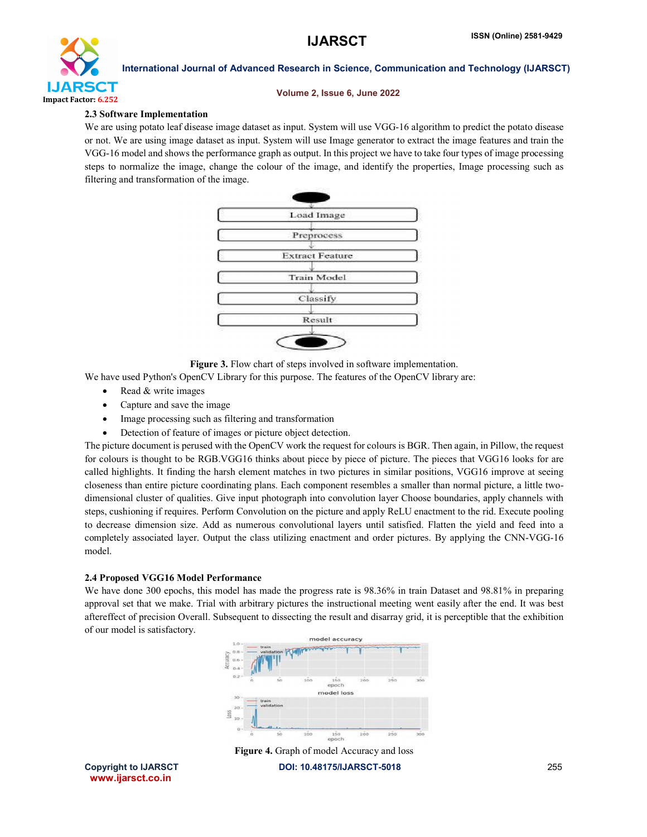

#### Volume 2, Issue 6, June 2022

# 2.3 Software Implementation

We are using potato leaf disease image dataset as input. System will use VGG-16 algorithm to predict the potato disease or not. We are using image dataset as input. System will use Image generator to extract the image features and train the VGG-16 model and shows the performance graph as output. In this project we have to take four types of image processing steps to normalize the image, change the colour of the image, and identify the properties, Image processing such as filtering and transformation of the image.



Figure 3. Flow chart of steps involved in software implementation.

We have used Python's OpenCV Library for this purpose. The features of the OpenCV library are:

- Read & write images
- Capture and save the image
- Image processing such as filtering and transformation
- Detection of feature of images or picture object detection.

The picture document is perused with the OpenCV work the request for colours is BGR. Then again, in Pillow, the request for colours is thought to be RGB.VGG16 thinks about piece by piece of picture. The pieces that VGG16 looks for are called highlights. It finding the harsh element matches in two pictures in similar positions, VGG16 improve at seeing closeness than entire picture coordinating plans. Each component resembles a smaller than normal picture, a little twodimensional cluster of qualities. Give input photograph into convolution layer Choose boundaries, apply channels with steps, cushioning if requires. Perform Convolution on the picture and apply ReLU enactment to the rid. Execute pooling to decrease dimension size. Add as numerous convolutional layers until satisfied. Flatten the yield and feed into a completely associated layer. Output the class utilizing enactment and order pictures. By applying the CNN-VGG-16 model.

# 2.4 Proposed VGG16 Model Performance

We have done 300 epochs, this model has made the progress rate is 98.36% in train Dataset and 98.81% in preparing approval set that we make. Trial with arbitrary pictures the instructional meeting went easily after the end. It was best aftereffect of precision Overall. Subsequent to dissecting the result and disarray grid, it is perceptible that the exhibition of our model is satisfactory.





www.ijarsct.co.in